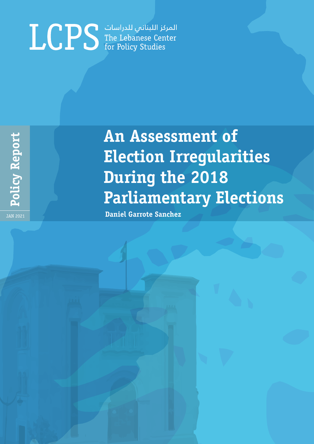# المركز اللبناني للدراسات<br>The Lebanese Center<br>for Policy Studies

 **Policy Report** Policy Report JAN 2021

# **An Assessment of Election Irregularities During the 2018 Parliamentary Elections**

**Daniel Garrote Sanchez**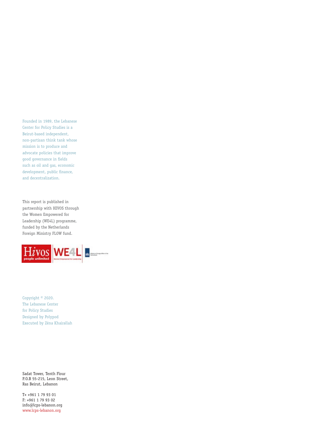Founded in 1989, the Lebanese Center for Policy Studies is a Beirut-based independent, non-partisan think tank whose mission is to produce and advocate policies that improve good governance in fields such as oil and gas, economic development, public finance, and decentralization.

This report is published in partnership with HIVOS through the Women Empowered for Leadership (WE4L) programme, funded by the Netherlands Foreign Ministry FLOW fund.



Copyright © 2020. The Lebanese Center for Policy Studies Designed by Polypod Executed by Zéna Khairallah

Sadat Tower, Tenth Flour P.O.B 55-215, Leon Street, Ras Beirut, Lebanon

T+ +961 1 79 93 01 F: +961 1 79 93 02 info@lcps-lebanon.org www.lcps-lebanon.org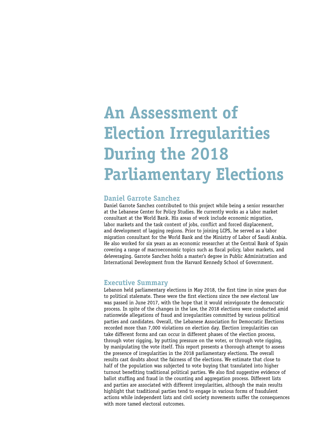# **An Assessment of Election Irregularities During the 2018 Parliamentary Elections**

# **Daniel Garrote Sanchez**

Daniel Garrote Sanchez contributed to this project while being a senior researcher at the Lebanese Center for Policy Studies. He currently works as a labor market consultant at the World Bank. His areas of work include economic migration, labor markets and the task content of jobs, conflict and forced displacement, and development of lagging regions. Prior to joining LCPS, he served as a labor migration consultant for the World Bank and the Ministry of Labor of Saudi Arabia. He also worked for six years as an economic researcher at the Central Bank of Spain covering a range of macroeconomic topics such as fiscal policy, labor markets, and deleveraging. Garrote Sanchez holds a master's degree in Public Administration and International Development from the Harvard Kennedy School of Government.

# **Executive Summary**

Lebanon held parliamentary elections in May 2018, the first time in nine years due to political stalemate. These were the first elections since the new electoral law was passed in June 2017, with the hope that it would reinvigorate the democratic process. In spite of the changes in the law, the 2018 elections were conducted amid nationwide allegations of fraud and irregularities committed by various political parties and candidates. Overall, the Lebanese Association for Democratic Elections recorded more than 7,000 violations on election day. Election irregularities can take different forms and can occur in different phases of the election process, through voter rigging, by putting pressure on the voter, or through vote rigging, by manipulating the vote itself. This report presents a thorough attempt to assess the presence of irregularities in the 2018 parliamentary elections. The overall results cast doubts about the fairness of the elections. We estimate that close to half of the population was subjected to vote buying that translated into higher turnout benefiting traditional political parties. We also find suggestive evidence of ballot stuffing and fraud in the counting and aggregation process. Different lists and parties are associated with different irregularities, although the main results highlight that traditional parties tend to engage in various forms of fraudulent actions while independent lists and civil society movements suffer the consequences with more tamed electoral outcomes.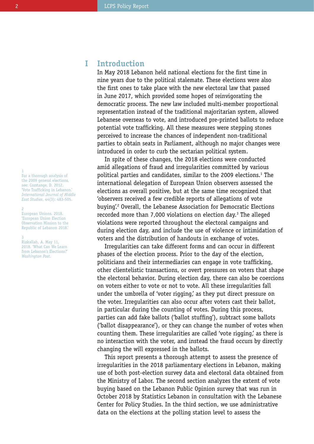1

For a thorough analysis of the 2009 general elections, see: Corstange, D. 2012. 'Vote Trafficking in Lebanon.' *International Journal of Middle East Studies*, 44(3): 483-505.

#### 2

European Unions. 2018. 'European Union Election Observation Mission to the Republic of Lebanon 2018.'

#### 3

Rizkallah, A. May 11, 2018. 'What Can We Learn from Lebanon's Elections?' *Washington Post*.

#### **Introduction I**

In May 2018 Lebanon held national elections for the first time in nine years due to the political stalemate. These elections were also the first ones to take place with the new electoral law that passed in June 2017, which provided some hopes of reinvigorating the democratic process. The new law included multi-member proportional representation instead of the traditional majoritarian system, allowed Lebanese overseas to vote, and introduced pre-printed ballots to reduce potential vote trafficking. All these measures were stepping stones perceived to increase the chances of independent non-traditional parties to obtain seats in Parliament, although no major changes were introduced in order to curb the sectarian political system.

In spite of these changes, the 2018 elections were conducted amid allegations of fraud and irregularities committed by various political parties and candidates, similar to the 2009 elections.<sup>1</sup> The international delegation of European Union observers assessed the elections as overall positive, but at the same time recognized that 'observers received a few credible reports of allegations of vote buying'.2 Overall, the Lebanese Association for Democratic Elections recorded more than 7,000 violations on election day.3 The alleged violations were reported throughout the electoral campaigns and during election day, and include the use of violence or intimidation of voters and the distribution of handouts in exchange of votes.

Irregularities can take different forms and can occur in different phases of the election process. Prior to the day of the election, politicians and their intermediaries can engage in vote trafficking, other clientelistic transactions, or overt pressures on voters that shape the electoral behavior. During election day, there can also be coercions on voters either to vote or not to vote. All these irregularities fall under the umbrella of 'voter rigging,' as they put direct pressure on the voter. Irregularities can also occur after voters cast their ballot, in particular during the counting of votes. During this process, parties can add fake ballots ('ballot stuffing'), subtract some ballots ('ballot disappearance'), or they can change the number of votes when counting them. These irregularities are called 'vote rigging', as there is no interaction with the voter, and instead the fraud occurs by directly changing the will expressed in the ballots.

This report presents a thorough attempt to assess the presence of irregularities in the 2018 parliamentary elections in Lebanon, making use of both post-election survey data and electoral data obtained from the Ministry of Labor. The second section analyzes the extent of vote buying based on the Lebanon Public Opinion survey that was run in October 2018 by Statistics Lebanon in consultation with the Lebanese Center for Policy Studies. In the third section, we use administrative data on the elections at the polling station level to assess the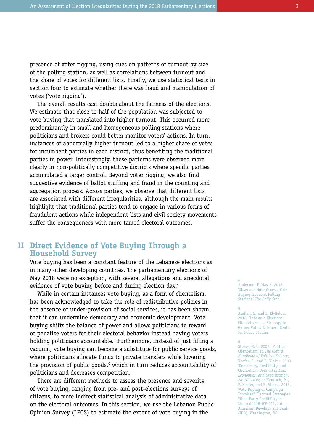presence of voter rigging, using cues on patterns of turnout by size of the polling station, as well as correlations between turnout and the share of votes for different lists. Finally, we use statistical tests in section four to estimate whether there was fraud and manipulation of votes ('vote rigging').

The overall results cast doubts about the fairness of the elections. We estimate that close to half of the population was subjected to vote buying that translated into higher turnout. This occurred more predominantly in small and homogeneous polling stations where politicians and brokers could better monitor voters' actions. In turn, instances of abnormally higher turnout led to a higher share of votes for incumbent parties in each district, thus benefiting the traditional parties in power. Interestingly, these patterns were observed more clearly in non-politically competitive districts where specific parties accumulated a larger control. Beyond voter rigging, we also find suggestive evidence of ballot stuffing and fraud in the counting and aggregation process. Across parties, we observe that different lists are associated with different irregularities, although the main results highlight that traditional parties tend to engage in various forms of fraudulent actions while independent lists and civil society movements suffer the consequences with more tamed electoral outcomes.

# **Direct Evidence of Vote Buying Through a II Household Survey**

Vote buying has been a constant feature of the Lebanese elections as in many other developing countries. The parliamentary elections of May 2018 were no exception, with several allegations and anecdotal evidence of vote buving before and during election day.<sup>4</sup>

While in certain instances vote buying, as a form of clientelism, has been acknowledged to take the role of redistributive policies in the absence or under-provision of social services, it has been shown that it can undermine democracy and economic development. Vote buying shifts the balance of power and allows politicians to reward or penalize voters for their electoral behavior instead having voters holding politicians accountable.5 Furthermore, instead of just filling a vacuum, vote buying can become a substitute for public service goods, where politicians allocate funds to private transfers while lowering the provision of public goods,<sup>6</sup> which in turn reduces accountability of politicians and decreases competition.

There are different methods to assess the presence and severity of vote buying, ranging from pre- and post-elections surveys of citizens, to more indirect statistical analysis of administrative data on the electoral outcomes. In this section, we use the Lebanon Public Opinion Survey (LPOS) to estimate the extent of vote buying in the

# Anderson, F. May 7, 2018. 'Observers Note Access, Vote

Buying Issues at Polling Stations.' *The Daily Star*.

#### 5

4

Atallah, S. and Z. El-Helou. 2018. 'Lebanese Elections: Clientelism as a Strategy to Garner Votes.' Lebanese Center for Policy Studies.

6

Stokes, S. C. 2007. 'Political Clientelism.' In *The Oxford Handbook of Political Science*; Keefer, P., and R. Vlaicu. 2008. 'Democracy, Credibility, and Clientelism.' *Journal of Law, Economics, and Organization*, 24: 371-406; or Hanusch, M., P. Keefer, and R. Vlaicu. 2016. 'Vote Buying or Campaign Promises? Electoral Strategies When Party Credibility is Limited.' IDB-WP-691, Inter-American Development Bank (IDB), Washington, DC.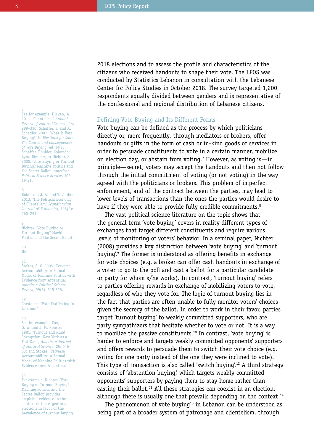7 See for example: Hicken, A. 2011. 'Clientelism.' *Annual Review of Political Science*, 14: 289–310; Schaffer, F. and A. Schedler. 2007. 'What Is Vote Buying?' In *Elections for Sale: The Causes and Consequences of Vote Buying*, ed. by F. Schaffer, Boulder, Colorado: Lynn Rienner; or Nichter, S. 2008. 'Vote Buying or Turnout Buying? Machine Politics and the Secret Ballot.' *American Political Science Review*, 102: 19-31.

#### 8

Robinson, J. A. and T. Verdier. 2013. 'The Political Economy of Clientelism.' *Scandinavian Journal of Economics*, 115(2): 260–291.

#### $\overline{9}$

Nichter. 'Vote Buying or Turnout Buying? Machine Politics and the Secret Ballot.'

 $10$ Ibid.

#### 11

Stokes, S. C. 2005. 'Perverse Accountability: A Formal Model of Machine Politics with Evidence from Argentina.' *American Political Science Review*, 99(3): 315-325.

#### 12

Corstange. 'Vote Trafficking in Lebanon<sup>'</sup>

#### 13

See for example: Cox, G. W. and J. M. Kousser. 1981. 'Turnout and Rural Corruption: New York as a Test Case', *American Journal of Political Science*, 25: 646- 63; and Stokes. 'Perverse Accountability: A Formal Model of Machine Politics with Evidence from Argentina.'

#### 14

For example, Nichter. 'Vote Buying or Turnout Buying? Machine Politics and the Secret Ballot' provides empirical evidence in the context of the Argentinian elections in favor of the prevalence of turnout buying. 2018 elections and to assess the profile and characteristics of the citizens who received handouts to shape their vote. The LPOS was conducted by Statistics Lebanon in consultation with the Lebanese Center for Policy Studies in October 2018. The survey targeted 1,200 respondents equally divided between genders and is representative of the confessional and regional distribution of Lebanese citizens.

# Defining Vote Buying and Its Different Forms

Vote buying can be defined as the process by which politicians directly or, more frequently, through mediators or brokers, offer handouts or gifts in the form of cash or in-kind goods or services in order to persuade constituents to vote in a certain manner, mobilize on election day, or abstain from voting.7 However, as voting is—in principle—secret, voters may accept the handouts and then not follow through the initial commitment of voting (or not voting) in the way agreed with the politicians or brokers. This problem of imperfect enforcement, and of the contract between the parties, may lead to lower levels of transactions than the ones the parties would desire to have if they were able to provide fully credible commitments.<sup>8</sup>

The vast political science literature on the topic shows that the general term 'vote buying' covers in reality different types of exchanges that target different constituents and require various levels of monitoring of voters' behavior. In a seminal paper, Nichter (2008) provides a key distinction between 'vote buying' and 'turnout buying'.9 The former is understood as offering benefits in exchange for vote choices (e.g. a broker can offer cash handouts in exchange of a voter to go to the poll and cast a ballot for a particular candidate or party for whom s/he works). In contrast, 'turnout buying' refers to parties offering rewards in exchange of mobilizing voters to vote, regardless of who they vote for. The logic of turnout buying lies in the fact that parties are often unable to fully monitor voters' choices given the secrecy of the ballot. In order to work in their favor, parties target 'turnout buying' to weakly committed supporters, who are party sympathizers that hesitate whether to vote or not. It is a way to mobilize the passive constituents.<sup>10</sup> In contrast, 'vote buying' is harder to enforce and targets weakly committed opponents' supporters and offers rewards to persuade them to switch their vote choice (e.g. voting for one party instead of the one they were inclined to vote). $11$ This type of transaction is also called 'switch buying'.<sup>12</sup> A third strategy consists of 'abstention buying,' which targets weakly committed opponents' supporters by paying them to stay home rather than casting their ballot.<sup>13</sup> All these strategies can coexist in an election, although there is usually one that prevails depending on the context.<sup>14</sup>

The phenomenon of vote buying<sup>15</sup> in Lebanon can be understood as being part of a broader system of patronage and clientelism, through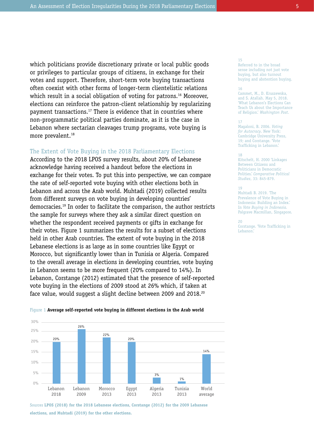which politicians provide discretionary private or local public goods or privileges to particular groups of citizens, in exchange for their votes and support. Therefore, short-term vote buying transactions often coexist with other forms of longer-term clientelistic relations which result in a social obligation of voting for patrons.<sup>16</sup> Moreover, elections can reinforce the patron-client relationship by regularizing payment transactions.17 There is evidence that in countries where non-programmatic political parties dominate, as it is the case in Lebanon where sectarian cleavages trump programs, vote buying is more prevalent.<sup>18</sup>

# The Extent of Vote Buying in the 2018 Parliamentary Elections

According to the 2018 LPOS survey results, about 20% of Lebanese acknowledge having received a handout before the elections in exchange for their votes. To put this into perspective, we can compare the rate of self-reported vote buying with other elections both in Lebanon and across the Arab world. Muhtadi (2019) collected results from different surveys on vote buying in developing countries' democracies.19 In order to facilitate the comparison, the author restricts the sample for surveys where they ask a similar direct question on whether the respondent received payments or gifts in exchange for their votes. Figure 1 summarizes the results for a subset of elections held in other Arab countries. The extent of vote buying in the 2018 Lebanese elections is as large as in some countries like Egypt or Morocco, but significantly lower than in Tunisia or Algeria. Compared to the overall average in elections in developing countries, vote buying in Lebanon seems to be more frequent (20% compared to 14%). In Lebanon, Corstange (2012) estimated that the presence of self-reported vote buying in the elections of 2009 stood at 26% which, if taken at face value, would suggest a slight decline between 2009 and 2018.<sup>20</sup>



Figure 1 **Average self-reported vote buying in different elections in the Arab world**

Sources **LPOS (2018) for the 2018 Lebanese elections, Corstange (2012) for the 2009 Lebanese elections, and Muhtadi (2019) for the other elections.** 

#### 15

Referred to in the broad sense including not just vote buying, but also turnout buying and abstention buying.

#### 16

Cammet, M., D. Kruszewska, and S. Atallah. May 5, 2018. 'What Lebanon's Elections Can Teach Us about the Importance of Religion.' *Washington Post*.

#### 17

Magaloni, B. 2006. *Voting for Autocracy*. New York: Cambridge University Press, 19; and Corstange. 'Vote Trafficking in Lebanon.'

#### 18

Kitschelt, H. 2000 'Linkages Between Citizens and Politicians in Democratic Polities.' *Comparative Political Studies*, 33: 845-879.

# 19

Muhtadi B. 2019*.* 'The Prevalence of Vote Buying in Indonesia: Building an Index.' In *Vote Buying in Indonesia.*  Palgrave Macmillan, Singapore.

20 Corstange. 'Vote Trafficking in Lebanon.'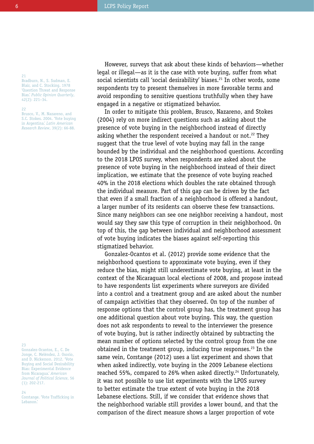21

22

Bradburn, N., S. Sudman, E. Blair, and C. Stocking. 1978 'Question Threat and Response Bias.' *Public Opinion Quarterly*, 42(2): 221–34.

Brusco, V., M. Nazareno, and S.C. Stokes. 2004. 'Vote buying in Argentina.' *Latin American Research Review*, 39(2): 66-88.

legal or illegal—as it is the case with vote buying, suffer from what social scientists call 'social desirability' biases.<sup>21</sup> In other words, some respondents try to present themselves in more favorable terms and avoid responding to sensitive questions truthfully when they have engaged in a negative or stigmatized behavior.

However, surveys that ask about these kinds of behaviors—whether

In order to mitigate this problem, Brusco, Nazareno, and Stokes (2004) rely on more indirect questions such as asking about the presence of vote buying in the neighborhood instead of directly asking whether the respondent received a handout or not.<sup>22</sup> They suggest that the true level of vote buying may fall in the range bounded by the individual and the neighborhood questions. According to the 2018 LPOS survey, when respondents are asked about the presence of vote buying in the neighborhood instead of their direct implication, we estimate that the presence of vote buying reached 40% in the 2018 elections which doubles the rate obtained through the individual measure. Part of this gap can be driven by the fact that even if a small fraction of a neighborhood is offered a handout, a larger number of its residents can observe these few transactions. Since many neighbors can see one neighbor receiving a handout, most would say they saw this type of corruption in their neighborhood. On top of this, the gap between individual and neighborhood assessment of vote buying indicates the biases against self-reporting this stigmatized behavior.

Gonzalez-Ocantos et al. (2012) provide some evidence that the neighborhood questions to approximate vote buying, even if they reduce the bias, might still underestimate vote buying, at least in the context of the Nicaraguan local elections of 2008, and propose instead to have respondents list experiments where surveyors are divided into a control and a treatment group and are asked about the number of campaign activities that they observed. On top of the number of response options that the control group has, the treatment group has one additional question about vote buying. This way, the question does not ask respondents to reveal to the interviewer the presence of vote buying, but is rather indirectly obtained by subtracting the mean number of options selected by the control group from the one obtained in the treatment group, inducing true responses.<sup>23</sup> In the same vein, Corstange (2012) uses a list experiment and shows that when asked indirectly, vote buying in the 2009 Lebanese elections reached 55%, compared to 26% when asked directly.<sup>24</sup> Unfortunately, it was not possible to use list experiments with the LPOS survey to better estimate the true extent of vote buying in the 2018 Lebanese elections. Still, if we consider that evidence shows that the neighborhood variable still provides a lower bound, and that the comparison of the direct measure shows a larger proportion of vote

23

Gonzalez-Ocantos, E., C. De Jonge, C. Meléndez, J. Osorio, and D. Nickerson. 2012. 'Vote Buying and Social Desirability Bias: Experimental Evidence from Nicaragua.' *American Journal of Political Science*, 56 (1): 202-217.

#### 24 Corstange. 'Vote Trafficking in Lebanon.'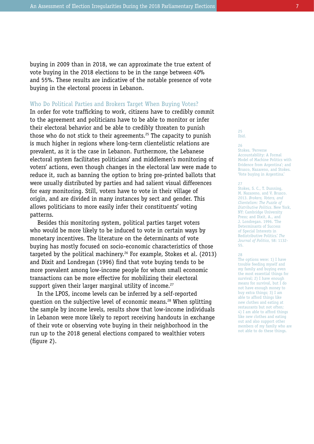buying in 2009 than in 2018, we can approximate the true extent of vote buying in the 2018 elections to be in the range between 40% and 55%. These results are indicative of the notable presence of vote buying in the electoral process in Lebanon.

# Who Do Political Parties and Brokers Target When Buying Votes?

In order for vote trafficking to work, citizens have to credibly commit to the agreement and politicians have to be able to monitor or infer their electoral behavior and be able to credibly threaten to punish those who do not stick to their agreements.25 The capacity to punish is much higher in regions where long-term clientelistic relations are prevalent, as it is the case in Lebanon. Furthermore, the Lebanese electoral system facilitates politicians' and middlemen's monitoring of voters' actions, even though changes in the electoral law were made to reduce it, such as banning the option to bring pre-printed ballots that were usually distributed by parties and had salient visual differences for easy monitoring. Still, voters have to vote in their village of origin, and are divided in many instances by sect and gender. This allows politicians to more easily infer their constituents' voting patterns.

Besides this monitoring system, political parties target voters who would be more likely to be induced to vote in certain ways by monetary incentives. The literature on the determinants of vote buying has mostly focused on socio-economic characteristics of those targeted by the political machinery.<sup>26</sup> For example, Stokes et al. (2013) and Dixit and Londregan (1996) find that vote buying tends to be more prevalent among low-income people for whom small economic transactions can be more effective for mobilizing their electoral support given their larger marginal utility of income.<sup>27</sup>

In the LPOS, income levels can be inferred by a self-reported question on the subjective level of economic means.<sup>28</sup> When splitting the sample by income levels, results show that low-income individuals in Lebanon were more likely to report receiving handouts in exchange of their vote or observing vote buying in their neighborhood in the run up to the 2018 general elections compared to wealthier voters (figure 2).

#### 25 Ibid.

# 26

Stokes. 'Perverse Accountability: A Formal Model of Machine Politics with Evidence from Argentina'; and Brusco, Nazareno, and Stokes. 'Vote buying in Argentina.'

#### 27

Stokes, S. C., T. Dunning, M. Nazareno, and V. Brusco. 2013. *Brokers, Voters, and Clientelism: The Puzzle of Distributive Politics*. New York, NY: Cambridge University Press; and Dixit, A., and J. Londregan. 1996. 'The Determinants of Success of Special Interests in Redistributive Politics.' *The Journal of Politics*, 58: 1132- 55.

#### 28

The options were: 1) I have trouble feeding myself and my family and buying even the most essential things for survival; 2) I have enough means for survival, but I do not have enough money to buy extra things; 3) I am able to afford things like new clothes and eating at restaurants but not often; 4) I am able to afford things like new clothes and eating out and also support other members of my family who are not able to do these things.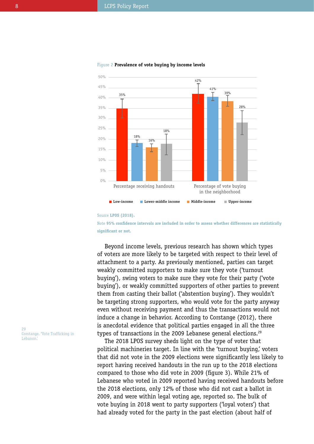

#### Figure 2 **Prevalence of vote buying by income levels**

#### Source **LPOS (2018).**

Note **95% confidence intervals are included in order to assess whether differences are statistically significant or not.**

Beyond income levels, previous research has shown which types of voters are more likely to be targeted with respect to their level of attachment to a party. As previously mentioned, parties can target weakly committed supporters to make sure they vote ('turnout buying'), swing voters to make sure they vote for their party ('vote buying'), or weakly committed supporters of other parties to prevent them from casting their ballot ('abstention buying'). They wouldn't be targeting strong supporters, who would vote for the party anyway even without receiving payment and thus the transactions would not induce a change in behavior. According to Corstange (2012), there is anecdotal evidence that political parties engaged in all the three types of transactions in the 2009 Lebanese general elections.<sup>29</sup>

The 2018 LPOS survey sheds light on the type of voter that political machineries target. In line with the 'turnout buying,' voters that did not vote in the 2009 elections were significantly less likely to report having received handouts in the run up to the 2018 elections compared to those who did vote in 2009 (figure 3). While 21% of Lebanese who voted in 2009 reported having received handouts before the 2018 elections, only 12% of those who did not cast a ballot in 2009, and were within legal voting age, reported so. The bulk of vote buying in 2018 went to party supporters ('loyal voters') that had already voted for the party in the past election (about half of

29 Corstange. 'Vote Trafficking in Lebanon.'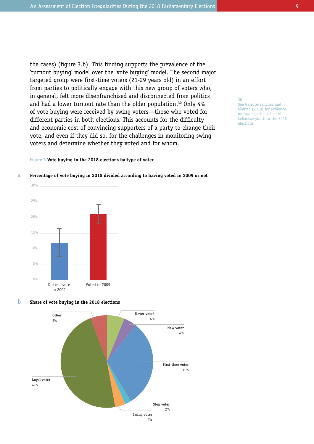the cases) (figure 3.b). This finding supports the prevalence of the 'turnout buying' model over the 'vote buying' model. The second major targeted group were first-time voters (21-29 years old) in an effort from parties to politically engage with this new group of voters who, in general, felt more disenfranchised and disconnected from politics and had a lower turnout rate than the older population.<sup>30</sup> Only 4% of vote buying were received by swing voters—those who voted for different parties in both elections. This accounts for the difficulty and economic cost of convincing supporters of a party to change their vote, and even if they did so, for the challenges in monitoring swing voters and determine whether they voted and for whom.

### See Garrote-Sanchez and Mourad (2019) for evidence on lower participation of Lebanese youth in the 2018 elections.

30

# Figure 3 **Vote buying in the 2018 elections by type of voter**



a

# **Percentage of vote buying in 2018 divided according to having voted in 2009 or not**

#### **Share of vote buying in the 2018 elections** b

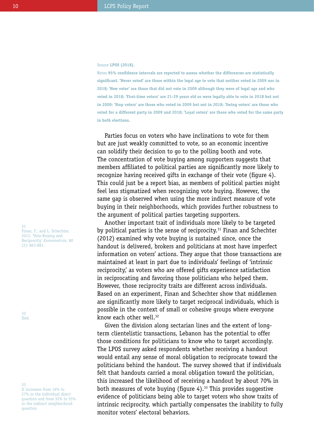Source **LPOS (2018).**

Notes **95% confidence intervals are reported to assess whether the differences are statistically significant. 'Never voted' are those within the legal age to vote that neither voted in 2009 nor in 2018; 'New voter' are those that did not vote in 2009 although they were of legal age and who voted in 2018; 'First-time voters' are 21-29 years old so were legally able to vote in 2018 but not in 2009; 'Stop voters' are those who voted in 2009 but not in 2018; 'Swing voters' are those who voted for a different party in 2009 and 2018; 'Loyal voters' are those who voted for the same party in both elections.**

Parties focus on voters who have inclinations to vote for them but are just weakly committed to vote, so an economic incentive can solidify their decision to go to the polling booth and vote. The concentration of vote buying among supporters suggests that members affiliated to political parties are significantly more likely to recognize having received gifts in exchange of their vote (figure 4). This could just be a report bias, as members of political parties might feel less stigmatized when recognizing vote buying. However, the same gap is observed when using the more indirect measure of vote buying in their neighborhoods, which provides further robustness to the argument of political parties targeting supporters.

Another important trait of individuals more likely to be targeted by political parties is the sense of reciprocity.<sup>31</sup> Finan and Schechter (2012) examined why vote buying is sustained since, once the handout is delivered, brokers and politicians at most have imperfect information on voters' actions. They argue that those transactions are maintained at least in part due to individuals' feelings of 'intrinsic reciprocity,' as voters who are offered gifts experience satisfaction in reciprocating and favoring those politicians who helped them. However, those reciprocity traits are different across individuals. Based on an experiment, Finan and Schechter show that middlemen are significantly more likely to target reciprocal individuals, which is possible in the context of small or cohesive groups where everyone know each other well.<sup>32</sup>

Given the division along sectarian lines and the extent of longterm clientelistic transactions, Lebanon has the potential to offer those conditions for politicians to know who to target accordingly. The LPOS survey asked respondents whether receiving a handout would entail any sense of moral obligation to reciprocate toward the politicians behind the handout. The survey showed that if individuals felt that handouts carried a moral obligation toward the politician, this increased the likelihood of receiving a handout by about 70% in both measures of vote buying (figure 4).<sup>33</sup> This provides suggestive evidence of politicians being able to target voters who show traits of intrinsic reciprocity, which partially compensates the inability to fully monitor voters' electoral behaviors.

31 Finan, F., and L. Schechter. 2012. 'Vote-Buying and Reciprocity.' *Econometrica*, 80 (2): 863-881.

32 Ibid.

33 It increases from 16% to 27% in the individual direct question and from 32% to 55% in the indirect neighborhood question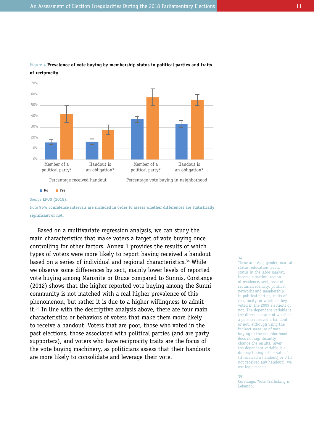

# Figure 4 **Prevalence of vote buying by membership status in political parties and traits of reciprocity**

Source **LPOS (2018).**

Note **95% confidence intervals are included in order to assess whether differences are statistically significant or not.**

Based on a multivariate regression analysis, we can study the main characteristics that make voters a target of vote buying once controlling for other factors. Annex 1 provides the results of which types of voters were more likely to report having received a handout based on a series of individual and regional characteristics.<sup>34</sup> While we observe some differences by sect, mainly lower levels of reported vote buying among Maronite or Druze compared to Sunnis, Corstange (2012) shows that the higher reported vote buying among the Sunni community is not matched with a real higher prevalence of this phenomenon, but rather it is due to a higher willingness to admit it.35 In line with the descriptive analysis above, there are four main characteristics or behaviors of voters that make them more likely to receive a handout. Voters that are poor, those who voted in the past elections, those associated with political parties (and are party supporters), and voters who have reciprocity traits are the focus of the vote buying machinery, as politicians assess that their handouts are more likely to consolidate and leverage their vote.

#### 34

These are: Age, gender, marital status, education levels, status in the labor market, income situation, region of residence, sect, level of sectarian identity, political networks and membership in political parties, traits of reciprocity, or whether they voted in the 2009 elections or not. The dependent variable is the direct measure of whether a person received a handout or not, although using the indirect measure of vote buying in the neighborhood does not significantly change the results. Given the dependent variable is a dummy taking either value 1 (if received a handout) or 0 (if not received any handout), we use logit models.

#### 35

Corstange. 'Vote Trafficking in Lebanon.'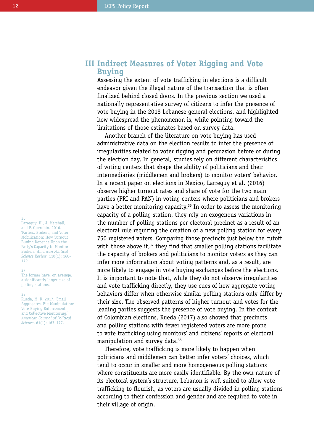# 36

Larreguy, H., J. Marshall, and P. Querubin. 2016. 'Parties, Brokers, and Voter Mobilization: How Turnout Buying Depends Upon the Party's Capacity to Monitor Brokers.' *American Political Science Review*, 110(1): 160- 179.

#### 37

The former have, on average, a significantly larger size of polling stations.

#### 38

Rueda, M. R. 2017. 'Small Aggregates, Big Manipulation: Vote Buying Enforcement and Collective Monitoring.' *American Journal of Political Science*, 61(1): 163–177.

# **Indirect Measures of Voter Rigging and Vote III Buying**

Assessing the extent of vote trafficking in elections is a difficult endeavor given the illegal nature of the transaction that is often finalized behind closed doors. In the previous section we used a nationally representative survey of citizens to infer the presence of vote buying in the 2018 Lebanese general elections, and highlighted how widespread the phenomenon is, while pointing toward the limitations of those estimates based on survey data.

Another branch of the literature on vote buying has used administrative data on the election results to infer the presence of irregularities related to voter rigging and persuasion before or during the election day. In general, studies rely on different characteristics of voting centers that shape the ability of politicians and their intermediaries (middlemen and brokers) to monitor voters' behavior. In a recent paper on elections in Mexico, Larreguy et al. (2016) observe higher turnout rates and share of vote for the two main parties (PRI and PAN) in voting centers where politicians and brokers have a better monitoring capacity.<sup>36</sup> In order to assess the monitoring capacity of a polling station, they rely on exogenous variations in the number of polling stations per electoral precinct as a result of an electoral rule requiring the creation of a new polling station for every 750 registered voters. Comparing those precincts just below the cutoff with those above it.<sup>37</sup> they find that smaller polling stations facilitate the capacity of brokers and politicians to monitor voters as they can infer more information about voting patterns and, as a result, are more likely to engage in vote buying exchanges before the elections. It is important to note that, while they do not observe irregularities and vote trafficking directly, they use cues of how aggregate voting behaviors differ when otherwise similar polling stations only differ by their size. The observed patterns of higher turnout and votes for the leading parties suggests the presence of vote buying. In the context of Colombian elections, Rueda (2017) also showed that precincts and polling stations with fewer registered voters are more prone to vote trafficking using monitors' and citizens' reports of electoral manipulation and survey data.<sup>38</sup>

Therefore, vote trafficking is more likely to happen when politicians and middlemen can better infer voters' choices, which tend to occur in smaller and more homogeneous polling stations where constituents are more easily identifiable. By the own nature of its electoral system's structure, Lebanon is well suited to allow vote trafficking to flourish, as voters are usually divided in polling stations according to their confession and gender and are required to vote in their village of origin.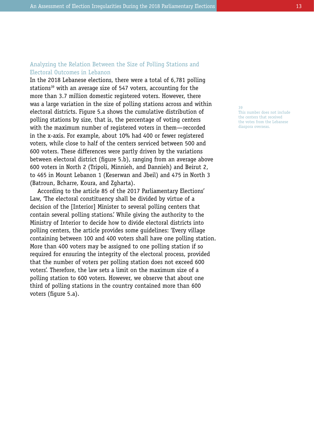# Analyzing the Relation Between the Size of Polling Stations and Electoral Outcomes in Lebanon

In the 2018 Lebanese elections, there were a total of 6,781 polling stations<sup>39</sup> with an average size of 547 voters, accounting for the more than 3.7 million domestic registered voters. However, there was a large variation in the size of polling stations across and within electoral districts. Figure 5.a shows the cumulative distribution of polling stations by size, that is, the percentage of voting centers with the maximum number of registered voters in them—recorded in the x-axis. For example, about 10% had 400 or fewer registered voters, while close to half of the centers serviced between 500 and 600 voters. These differences were partly driven by the variations between electoral district (figure 5.b), ranging from an average above 600 voters in North 2 (Tripoli, Minnieh, and Dannieh) and Beirut 2, to 465 in Mount Lebanon 1 (Keserwan and Jbeil) and 475 in North 3 (Batroun, Bcharre, Koura, and Zgharta).

According to the article 85 of the 2017 Parliamentary Elections' Law, 'The electoral constituency shall be divided by virtue of a decision of the [Interior] Minister to several polling centers that contain several polling stations.' While giving the authority to the Ministry of Interior to decide how to divide electoral districts into polling centers, the article provides some guidelines: 'Every village containing between 100 and 400 voters shall have one polling station. More than 400 voters may be assigned to one polling station if so required for ensuring the integrity of the electoral process, provided that the number of voters per polling station does not exceed 600 voters'. Therefore, the law sets a limit on the maximum size of a polling station to 600 voters. However, we observe that about one third of polling stations in the country contained more than 600 voters (figure 5.a).

39 This number does not include the centers that received the votes from the Lebanese diaspora overseas.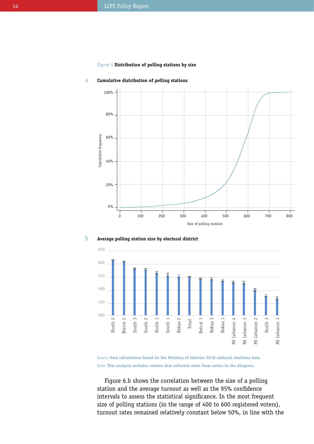# Figure 5 **Distribution of polling stations by size**



#### **Cumulative distribution of polling stations** a





Source **Own calculations based on the Ministry of Interior 2018 national elections data.** Note **This analysis excludes centers that collected votes from voters in the diaspora.**

Figure 6.b shows the correlation between the size of a polling station and the average turnout as well as the 95% confidence intervals to assess the statistical significance. In the most frequent size of polling stations (in the range of 400 to 600 registered voters), turnout rates remained relatively constant below 50%, in line with the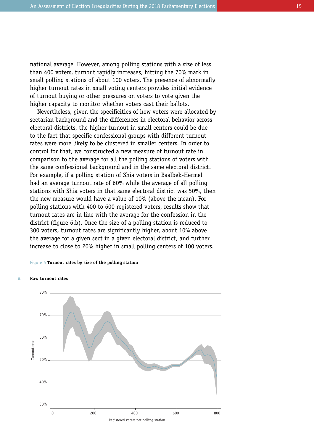national average. However, among polling stations with a size of less than 400 voters, turnout rapidly increases, hitting the 70% mark in small polling stations of about 100 voters. The presence of abnormally higher turnout rates in small voting centers provides initial evidence of turnout buying or other pressures on voters to vote given the higher capacity to monitor whether voters cast their ballots.

Nevertheless, given the specificities of how voters were allocated by sectarian background and the differences in electoral behavior across electoral districts, the higher turnout in small centers could be due to the fact that specific confessional groups with different turnout rates were more likely to be clustered in smaller centers. In order to control for that, we constructed a new measure of turnout rate in comparison to the average for all the polling stations of voters with the same confessional background and in the same electoral district. For example, if a polling station of Shia voters in Baalbek-Hermel had an average turnout rate of 60% while the average of all polling stations with Shia voters in that same electoral district was 50%, then the new measure would have a value of 10% (above the mean). For polling stations with 400 to 600 registered voters, results show that turnout rates are in line with the average for the confession in the district (figure 6.b). Once the size of a polling station is reduced to 300 voters, turnout rates are significantly higher, about 10% above the average for a given sect in a given electoral district, and further increase to close to 20% higher in small polling centers of 100 voters.

# Figure 6 **Turnout rates by size of the polling station**



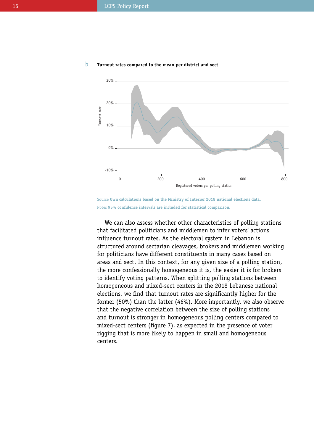

#### **Turnout rates compared to the mean per district and sect** b

Source **Own calculations based on the Ministry of Interior 2018 national elections data.** Notes **95% confidence intervals are included for statistical comparison.**

We can also assess whether other characteristics of polling stations that facilitated politicians and middlemen to infer voters' actions influence turnout rates. As the electoral system in Lebanon is structured around sectarian cleavages, brokers and middlemen working for politicians have different constituents in many cases based on areas and sect. In this context, for any given size of a polling station, the more confessionally homogeneous it is, the easier it is for brokers to identify voting patterns. When splitting polling stations between homogeneous and mixed-sect centers in the 2018 Lebanese national elections, we find that turnout rates are significantly higher for the former (50%) than the latter (46%). More importantly, we also observe that the negative correlation between the size of polling stations and turnout is stronger in homogeneous polling centers compared to mixed-sect centers (figure 7), as expected in the presence of voter rigging that is more likely to happen in small and homogeneous centers.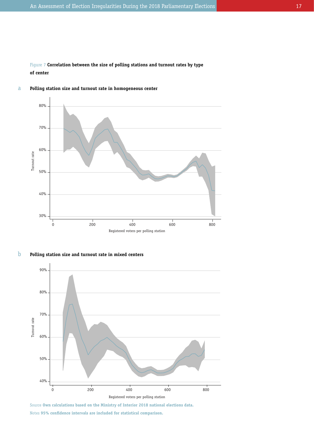Figure 7 **Correlation between the size of polling stations and turnout rates by type of center**



#### **Polling station size and turnout rate in homogeneous center** a

**Polling station size and turnout rate in mixed centers** b



Source **Own calculations based on the Ministry of Interior 2018 national elections data.** Notes **95% confidence intervals are included for statistical comparison.**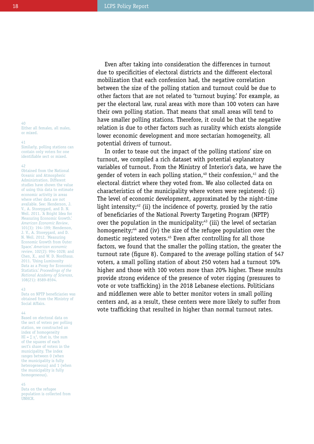Even after taking into consideration the differences in turnout due to specificities of electoral districts and the different electoral mobilization that each confession had, the negative correlation between the size of the polling station and turnout could be due to other factors that are not related to 'turnout buying.' For example, as per the electoral law, rural areas with more than 100 voters can have their own polling station. That means that small areas will tend to have smaller polling stations. Therefore, it could be that the negative relation is due to other factors such as rurality which exists alongside lower economic development and more sectarian homogeneity, all potential drivers of turnout.

In order to tease out the impact of the polling stations' size on turnout, we compiled a rich dataset with potential explanatory variables of turnout. From the Ministry of Interior's data, we have the gender of voters in each polling station,<sup>40</sup> their confession,<sup>41</sup> and the electoral district where they voted from. We also collected data on characteristics of the municipality where voters were registered: (i) The level of economic development, approximated by the night-time light intensity; $42$  (ii) the incidence of poverty, proxied by the ratio of beneficiaries of the National Poverty Targeting Program (NPTP) over the population in the municipality;<sup>43</sup> (iii) the level of sectarian homogeneity;<sup>44</sup> and (iv) the size of the refugee population over the domestic registered voters.<sup>45</sup> Even after controlling for all those factors, we found that the smaller the polling station, the greater the turnout rate (figure 8). Compared to the average polling station of 547 voters, a small polling station of about 250 voters had a turnout 10% higher and those with 100 voters more than 20% higher. These results provide strong evidence of the presence of voter rigging (pressures to vote or vote trafficking) in the 2018 Lebanese elections. Politicians and middlemen were able to better monitor voters in small polling centers and, as a result, these centers were more likely to suffer from vote trafficking that resulted in higher than normal turnout rates.

#### 40 Either all females, all males, or mixed.

41

Similarly, polling stations can contain only voters for one identifiable sect or mixed.

#### 42

Obtained from the National Oceanic and Atmospheric Administration. Different studies have shown the value of using this data to estimate economic activity in areas where other data are not available. See: Henderson, J. V., A. Storeygard, and D. N. Weil. 2011. 'A Bright Idea for Measuring Economic Growth.' *American Economic Review*, 101(3): 194–199; Henderson, J. V., A. Storeygard, and D. N. Weil. 2012. 'Measuring Economic Growth from Outer Space.' *American economic review*, 102(2): 994-1028; and Chen, X., and W. D. Nordhaus. 2011. 'Using Luminosity Data as a Proxy for Economic Statistics.' *Proceedings of the National Academy of Sciences*, 108(21): 8589-8594.

#### 43

Data on NPTP beneficiaries was obtained from the Ministry of Social Affairs.

#### 44

Based on electoral data on the sect of voters per polling station, we constructed an index of homogeneity  $HI = \sum s_i^2$ , that is, the sum of the squares of each sect's share of voters in the municipality. The index ranges between 0 (when the municipality is fully heterogeneous) and 1 (when the municipality is fully homogeneous).

#### 45

Data on the refugee population is collected from **UNHCR**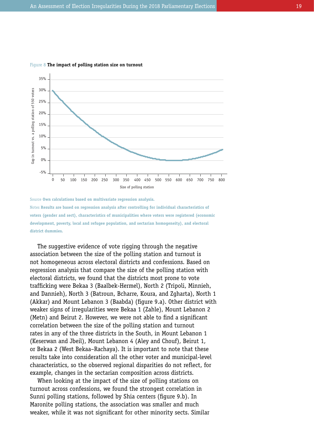

### Figure 8 **The impact of polling station size on turnout**

Source **Own calculations based on multivariate regression analysis.** Notes **Results are based on regression analysis after controlling for individual characteristics of voters (gender and sect), characteristics of municipalities where voters were registered (economic development, poverty, local and refugee population, and sectarian homogeneity), and electoral district dummies.**

The suggestive evidence of vote rigging through the negative association between the size of the polling station and turnout is not homogeneous across electoral districts and confessions. Based on regression analysis that compare the size of the polling station with electoral districts, we found that the districts most prone to vote trafficking were Bekaa 3 (Baalbek-Hermel), North 2 (Tripoli, Minnieh, and Dannieh), North 3 (Batroun, Bcharre, Koura, and Zgharta), North 1 (Akkar) and Mount Lebanon 3 (Baabda) (figure 9.a). Other district with weaker signs of irregularities were Bekaa 1 (Zahle), Mount Lebanon 2 (Metn) and Beirut 2. However, we were not able to find a significant correlation between the size of the polling station and turnout rates in any of the three districts in the South, in Mount Lebanon 1 (Keserwan and Jbeil), Mount Lebanon 4 (Aley and Chouf), Beirut 1, or Bekaa 2 (West Bekaa–Rachaya). It is important to note that these results take into consideration all the other voter and municipal-level characteristics, so the observed regional disparities do not reflect, for example, changes in the sectarian composition across districts.

When looking at the impact of the size of polling stations on turnout across confessions, we found the strongest correlation in Sunni polling stations, followed by Shia centers (figure 9.b). In Maronite polling stations, the association was smaller and much weaker, while it was not significant for other minority sects. Similar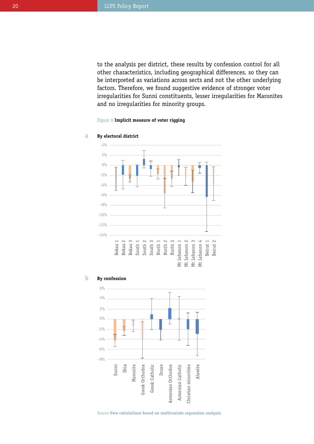to the analysis per district, these results by confession control for all other characteristics, including geographical differences, so they can be interpreted as variations across sects and not the other underlying factors. Therefore, we found suggestive evidence of stronger voter irregularities for Sunni constituents, lesser irregularities for Maronites and no irregularities for minority groups.

# Figure 9 **Implicit measure of voter rigging**



#### **By electoral district** a





Source **Own calculations based on multivariate regression analysis.**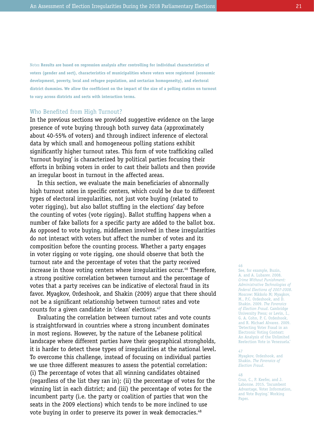Notes **Results are based on regression analysis after controlling for individual characteristics of voters (gender and sect), characteristics of municipalities where voters were registered (economic development, poverty, local and refugee population, and sectarian homogeneity), and electoral district dummies. We allow the coefficient on the impact of the size of a polling station on turnout to vary across districts and sects with interaction terms.**

# Who Benefited from High Turnout?

In the previous sections we provided suggestive evidence on the large presence of vote buying through both survey data (approximately about 40-55% of voters) and through indirect inference of electoral data by which small and homogeneous polling stations exhibit significantly higher turnout rates. This form of vote trafficking called 'turnout buying' is characterized by political parties focusing their efforts in bribing voters in order to cast their ballots and then provide an irregular boost in turnout in the affected areas.

In this section, we evaluate the main beneficiaries of abnormally high turnout rates in specific centers, which could be due to different types of electoral irregularities, not just vote buying (related to voter rigging), but also ballot stuffing in the elections' day before the counting of votes (vote rigging). Ballot stuffing happens when a number of fake ballots for a specific party are added to the ballot box. As opposed to vote buying, middlemen involved in these irregularities do not interact with voters but affect the number of votes and its composition before the counting process. Whether a party engages in voter rigging or vote rigging, one should observe that both the turnout rate and the percentage of votes that the party received increase in those voting centers where irregularities occur.<sup>46</sup> Therefore, a strong positive correlation between turnout and the percentage of votes that a party receives can be indicative of electoral fraud in its favor. Myagkov, Ordeshook, and Shakin (2009) argue that there should not be a significant relationship between turnout rates and vote counts for a given candidate in 'clean' elections.<sup>47</sup>

Evaluating the correlation between turnout rates and vote counts is straightforward in countries where a strong incumbent dominates in most regions. However, by the nature of the Lebanese political landscape where different parties have their geographical strongholds, it is harder to detect these types of irregularities at the national level. To overcome this challenge, instead of focusing on individual parties we use three different measures to assess the potential correlation: (i) The percentage of votes that all winning candidates obtained (regardless of the list they ran in); (ii) the percentage of votes for the winning list in each district; and (iii) the percentage of votes for the incumbent party (i.e. the party or coalition of parties that won the seats in the 2009 elections) which tends to be more inclined to use vote buying in order to preserve its power in weak democracies.<sup>48</sup>

#### 46

See, for example, Buzin, A. and A. Lubarev. 2008. *Crime Without Punishment: Administrative Technologies of Federal Elections of 2007-2008*. Moscow: Nikkolo M; Myagkov, M., P.C. Ordeshook, and D. Shakin. 2009. *The Forensics of Election Fraud*. Cambridge University Press; or Levin, I., G. A. Cohn, P. C. Ordeshook, and R. Michael Alvarez. 2009. 'Detecting Voter Fraud in an Electronic Voting Context: An Analysis of the Unlimited Reelection Vote in Venezuela.'

#### 47

Myagkov, Ordeshook, and Shakin. *The Forensics of Election Fraud*.

#### 48

Cruz, C., P. Keefer, and J. Labonne. 2015. 'Incumbent Advantage, Voter Information, and Vote Buying.' Working Paper.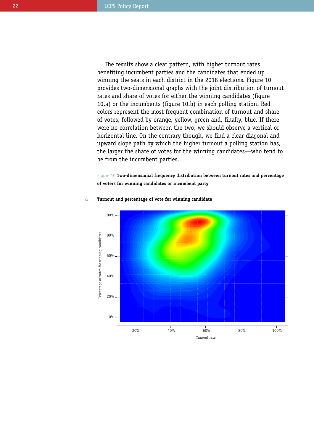The results show a clear pattern, with higher turnout rates benefiting incumbent parties and the candidates that ended up winning the seats in each district in the 2018 elections. Figure 10 provides two-dimensional graphs with the joint distribution of turnout rates and share of votes for either the winning candidates (figure 10.a) or the incumbents (figure 10.b) in each polling station. Red colors represent the most frequent combination of turnout and share of votes, followed by orange, yellow, green and, finally, blue. If there were no correlation between the two, we should observe a vertical or horizontal line. On the contrary though, we find a clear diagonal and upward slope path by which the higher turnout a polling station has, the larger the share of votes for the winning candidates—who tend to be from the incumbent parties.

Figure 10 **Two-dimensional frequency distribution between turnout rates and percentage of voters for winning candidates or incumbent party**



#### **Turnout and percentage of vote for winning candidate** a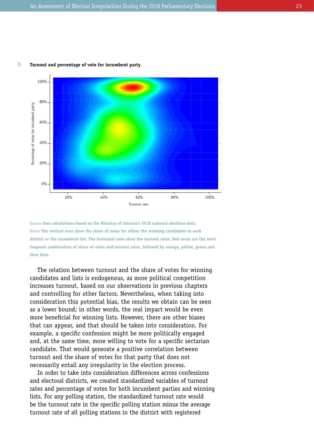#### **Turnout and percentage of vote for incumbent party** b



Source **Own calculations based on the Ministry of Interior's 2018 national elections data.** Notes **The vertical axes show the share of votes for either the winning candidates in each district or the incumbent list. The horizonal axes show the turnout rates. Red areas are the most frequent combination of share of votes and turnout rates, followed by orange, yellow, green and then blue.**

The relation between turnout and the share of votes for winning candidates and lists is endogenous, as more political competition increases turnout, based on our observations in previous chapters and controlling for other factors. Nevertheless, when taking into consideration this potential bias, the results we obtain can be seen as a lower bound; in other words, the real impact would be even more beneficial for winning lists. However, there are other biases that can appear, and that should be taken into consideration. For example, a specific confession might be more politically engaged and, at the same time, more willing to vote for a specific sectarian candidate. That would generate a positive correlation between turnout and the share of votes for that party that does not necessarily entail any irregularity in the election process.

In order to take into consideration differences across confessions and electoral districts, we created standardized variables of turnout rates and percentage of votes for both incumbent parties and winning lists. For any polling station, the standardized turnout rate would be the turnout rate in the specific polling station minus the average turnout rate of all polling stations in the district with registered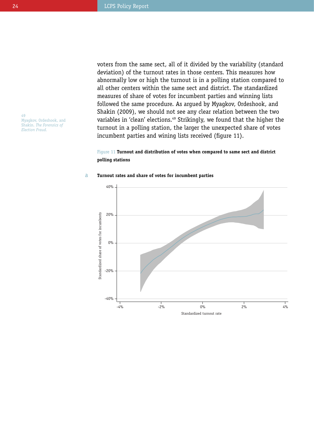voters from the same sect, all of it divided by the variability (standard deviation) of the turnout rates in those centers. This measures how abnormally low or high the turnout is in a polling station compared to all other centers within the same sect and district. The standardized measures of share of votes for incumbent parties and winning lists followed the same procedure. As argued by Myagkov, Ordeshook, and Shakin (2009), we should not see any clear relation between the two variables in 'clean' elections.<sup>49</sup> Strikingly, we found that the higher the turnout in a polling station, the larger the unexpected share of votes incumbent parties and wining lists received (figure 11).

# Figure 11 **Turnout and distribution of votes when compared to same sect and district polling stations**

#### **Turnout rates and share of votes for incumbent parties** a



49 Myagkov, Ordeshook, and Shakin. *The Forensics of Election Fraud.*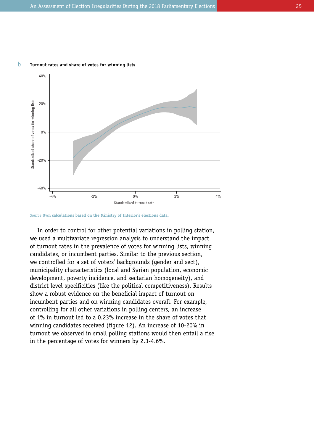

#### **Turnout rates and share of votes for winning lists** b

Source **Own calculations based on the Ministry of Interior's elections data.**

In order to control for other potential variations in polling station, we used a multivariate regression analysis to understand the impact of turnout rates in the prevalence of votes for winning lists, winning candidates, or incumbent parties. Similar to the previous section, we controlled for a set of voters' backgrounds (gender and sect), municipality characteristics (local and Syrian population, economic development, poverty incidence, and sectarian homogeneity), and district level specificities (like the political competitiveness). Results show a robust evidence on the beneficial impact of turnout on incumbent parties and on winning candidates overall. For example, controlling for all other variations in polling centers, an increase of 1% in turnout led to a 0.23% increase in the share of votes that winning candidates received (figure 12). An increase of 10-20% in turnout we observed in small polling stations would then entail a rise in the percentage of votes for winners by 2.3-4.6%.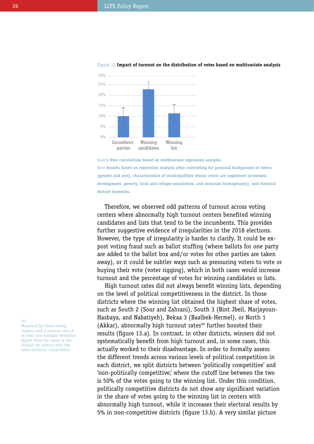

#### Figure 12 **Impact of turnout on the distribution of votes based on multivariate analysis**

Source **Own calculations based on multivariate regression analysis.** Note **Results based on regression analysis after controlling for personal background of voters (gender and sect), characteristics of municipalities where voters are registered (economic development, poverty, local and refugee population, and sectarian homogeneity), and electoral district dummies.**

Therefore, we observed odd patterns of turnout across voting centers where abnormally high turnout centers benefited winning candidates and lists that tend to be the incumbents. This provides further suggestive evidence of irregularities in the 2018 elections. However, the type of irregularity is harder to clarify. It could be expost voting fraud such as ballot stuffing (where ballots for one party are added to the ballot box and/or votes for other parties are taken away), or it could be subtler ways such as pressuring voters to vote or buying their vote (voter rigging), which in both cases would increase turnout and the percentage of votes for winning candidates or lists.

High turnout rates did not always benefit winning lists, depending on the level of political competitiveness in the district. In those districts where the winning list obtained the highest share of votes, such as South 2 (Sour and Zahrani), South 3 (Bint Jbeil, Marjayoun-Hasbaya, and Nabatiyeh), Bekaa 3 (Baalbek-Hermel), or North 1 (Akkar), abnormally high turnout rates<sup>50</sup> further boosted their results (figure 13.a). In contrast, in other districts, winners did not systematically benefit from high turnout and, in some cases, this actually worked to their disadvantage. In order to formally assess the different trends across various levels of political competition in each district, we split districts between 'politically competitive' and 'non-politically competitive,' where the cutoff line between the two is 50% of the votes going to the winning list. Under this condition, politically competitive districts do not show any significant variation in the share of votes going to the winning list in centers with abnormally high turnout, while it increases their electoral results by 5% in non-competitive districts (figure 13.b). A very similar picture

50

Measured by those voting centers with a turnout rate of at least one standard deviation higher than the mean in the district for centers with the same sectarian composition.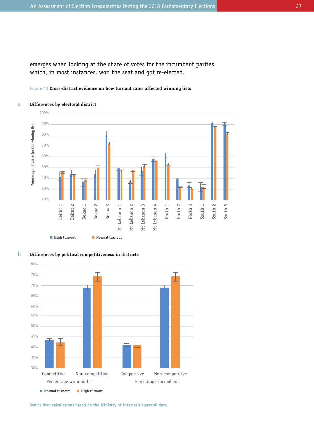emerges when looking at the share of votes for the incumbent parties which, in most instances, won the seat and got re-elected.

# Figure 13 **Cross-district evidence on how turnout rates affected winning lists**



#### **Differences by electoral district** a



**Differences by political competitiveness in districts** b

Source **Own calculations based on the Ministry of Interior's electoral data.**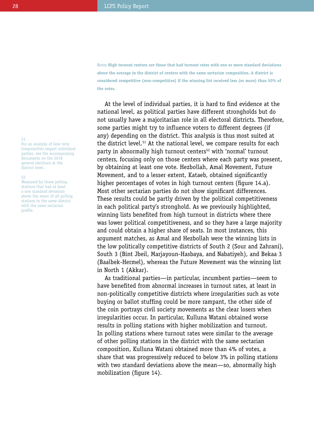Notes **High turnout centers are those that had turnout rates with one or more standard deviations above the average in the district of centers with the same sectarian composition. A district is considered competitive (non-competitive) if the winning list received less (or more) than 50% of the votes.**

At the level of individual parties, it is hard to find evidence at the national level, as political parties have different strongholds but do not usually have a majoritarian role in all electoral districts. Therefore, some parties might try to influence voters to different degrees (if any) depending on the district. This analysis is thus most suited at the district level.<sup>51</sup> At the national level, we compare results for each party in abnormally high turnout centers<sup>52</sup> with 'normal' turnout centers, focusing only on those centers where each party was present, by obtaining at least one vote. Hezbollah, Amal Movement, Future Movement, and to a lesser extent, Kataeb, obtained significantly higher percentages of votes in high turnout centers (figure 14.a). Most other sectarian parties do not show significant differences. These results could be partly driven by the political competitiveness in each political party's stronghold. As we previously highlighted, winning lists benefited from high turnout in districts where there was lower political competitiveness, and so they have a large majority and could obtain a higher share of seats. In most instances, this argument matches, as Amal and Hezbollah were the winning lists in the low politically competitive districts of South 2 (Sour and Zahrani), South 3 (Bint Jbeil, Marjayoun-Hasbaya, and Nabatiyeh), and Bekaa 3 (Baalbek-Hermel), whereas the Future Movement was the winning list in North 1 (Akkar).

As traditional parties—in particular, incumbent parties—seem to have benefited from abnormal increases in turnout rates, at least in non-politically competitive districts where irregularities such as vote buying or ballot stuffing could be more rampant, the other side of the coin portrays civil society movements as the clear losers when irregularities occur. In particular, Kulluna Watani obtained worse results in polling stations with higher mobilization and turnout. In polling stations where turnout rates were similar to the average of other polling stations in the district with the same sectarian composition, Kulluna Watani obtained more than 4% of votes, a share that was progressively reduced to below 3% in polling stations with two standard deviations above the mean—so, abnormally high mobilization (figure 14).

#### 51

For an analysis of how vote irregularities impact individual parties, see the accompanying documents on the 2018 general elections at the district level.

#### 52

Measured by those polling stations that had at least a one standard deviation above the mean of all polling stations in the same district with the same sectarian profile.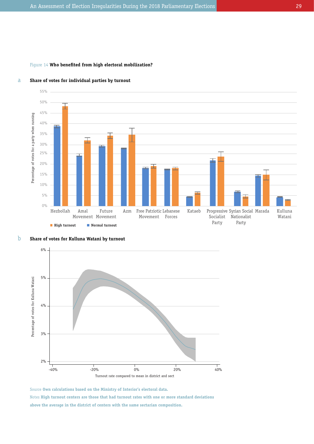# Figure 14 **Who benefited from high electoral mobilization?**



#### **Share of votes for individual parties by turnout**  a





Source **Own calculations based on the Ministry of Interior's electoral data.** Notes **High turnout centers are those that had turnout rates with one or more standard deviations above the average in the district of centers with the same sectarian composition.**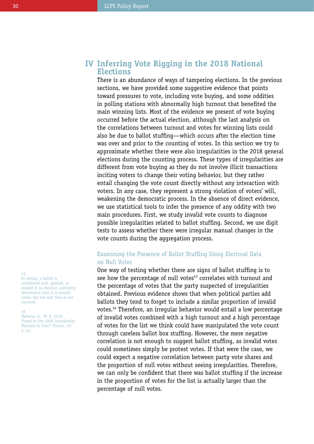# **Inferring Vote Rigging in the 2018 National IV Elections**

There is an abundance of ways of tampering elections. In the previous sections, we have provided some suggestive evidence that points toward pressures to vote, including vote buying, and some oddities in polling stations with abnormally high turnout that benefited the main winning lists. Most of the evidence we present of vote buying occurred before the actual election, although the last analysis on the correlations between turnout and votes for winning lists could also be due to ballot stuffing—which occurs after the election time was over and prior to the counting of votes. In this section we try to approximate whether there were also irregularities in the 2018 general elections during the counting process. These types of irregularities are different from vote buying as they do not involve illicit transactions inciting voters to change their voting behavior, but they rather entail changing the vote count directly without any interaction with voters. In any case, they represent a strong violation of voters' will, weakening the democratic process. In the absence of direct evidence, we use statistical tools to infer the presence of any oddity with two main procedures. First, we study invalid vote counts to diagnose possible irregularities related to ballot stuffing. Second, we use digit tests to assess whether there were irregular manual changes in the vote counts during the aggregation process.

# Examining the Presence of Ballot Stuffing Using Electoral Data on Null Votes

One way of testing whether there are signs of ballot stuffing is to see how the percentage of null votes<sup>53</sup> correlates with turnout and the percentage of votes that the party suspected of irregularities obtained. Previous evidence shows that when political parties add ballots they tend to forget to include a similar proportion of invalid votes.54 Therefore, an irregular behavior would entail a low percentage of invalid votes combined with a high turnout and a high percentage of votes for the list we think could have manipulated the vote count through careless ballot box stuffing. However, the mere negative correlation is not enough to suggest ballot stuffing, as invalid votes could sometimes simply be protest votes. If that were the case, we could expect a negative correlation between party vote shares and the proportion of null votes without seeing irregularities. Therefore, we can only be confident that there was ballot stuffing if the increase in the proportion of votes for the list is actually larger than the percentage of null votes.

## 53

In voting, a ballot is considered null, spoiled, or invalid if an election authority determines that it is invalid under the law and thus is not counted.

54 Mebane, Jr., W. R. 2010. 'Fraud in the 2009 Presidential Election in Iran?' *Chance*, 23: 6–15.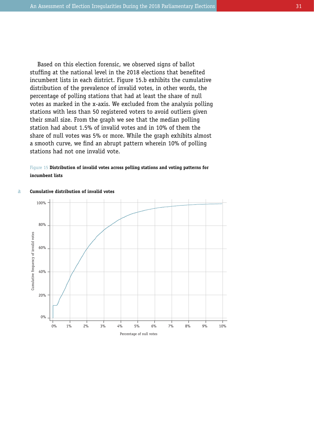Based on this election forensic, we observed signs of ballot stuffing at the national level in the 2018 elections that benefited incumbent lists in each district. Figure 15.b exhibits the cumulative distribution of the prevalence of invalid votes, in other words, the percentage of polling stations that had at least the share of null votes as marked in the x-axis. We excluded from the analysis polling stations with less than 50 registered voters to avoid outliers given their small size. From the graph we see that the median polling station had about 1.5% of invalid votes and in 10% of them the share of null votes was 5% or more. While the graph exhibits almost a smooth curve, we find an abrupt pattern wherein 10% of polling stations had not one invalid vote.

Figure 15 **Distribution of invalid votes across polling stations and voting patterns for incumbent lists** 



#### **Cumulative distribution of invalid votes** a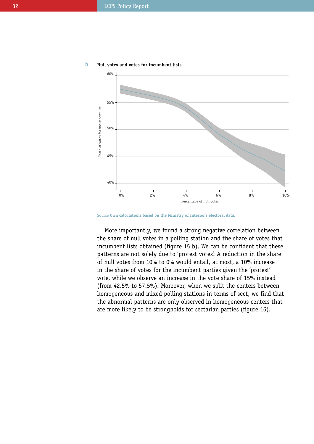

**Null votes and votes for incumbent lists** b

Source **Own calculations based on the Ministry of Interior's electoral data.**

More importantly, we found a strong negative correlation between the share of null votes in a polling station and the share of votes that incumbent lists obtained (figure 15.b). We can be confident that these patterns are not solely due to 'protest votes'. A reduction in the share of null votes from 10% to 0% would entail, at most, a 10% increase in the share of votes for the incumbent parties given the 'protest' vote, while we observe an increase in the vote share of 15% instead (from 42.5% to 57.5%). Moreover, when we split the centers between homogeneous and mixed polling stations in terms of sect, we find that the abnormal patterns are only observed in homogeneous centers that are more likely to be strongholds for sectarian parties (figure 16).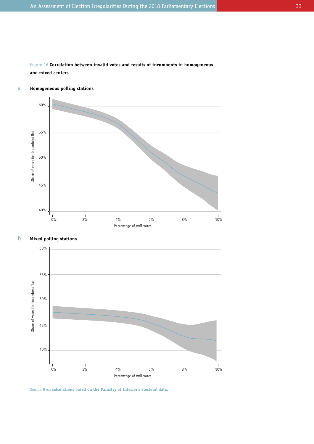

#### **Homogeneous polling stations** a



#### **Mixed polling stations** b



Source **Own calculations based on the Ministry of Interior's electoral data.**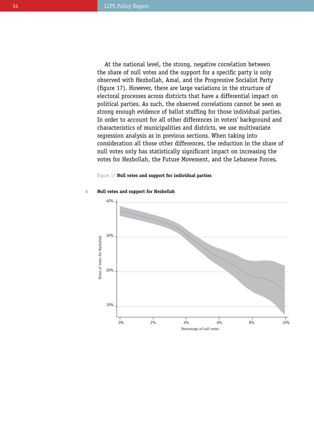At the national level, the strong, negative correlation between the share of null votes and the support for a specific party is only observed with Hezbollah, Amal, and the Progressive Socialist Party (figure 17). However, there are large variations in the structure of electoral processes across districts that have a differential impact on political parties. As such, the observed correlations cannot be seen as strong enough evidence of ballot stuffing for those individual parties. In order to account for all other differences in voters' background and characteristics of municipalities and districts, we use multivariate regression analysis as in previous sections. When taking into consideration all those other differences, the reduction in the share of null votes only has statistically significant impact on increasing the votes for Hezbollah, the Future Movement, and the Lebanese Forces.

# Figure 17 **Null votes and support for individual parties**



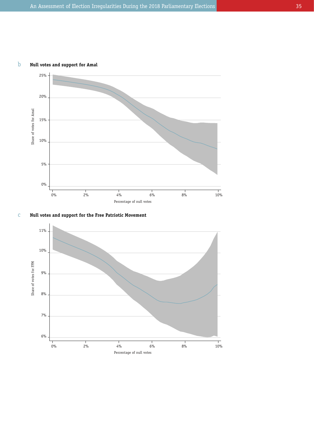



**Null votes and support for the Free Patriotic Movement** c

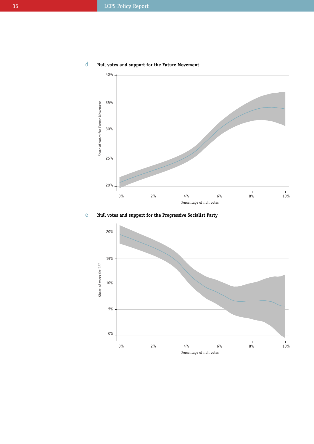

#### **Null votes and support for the Future Movement** d

**Null votes and support for the Progressive Socialist Party** e

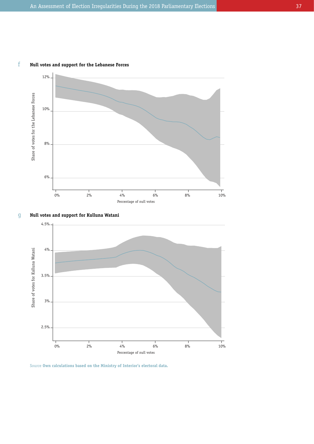





**Null votes and support for Kulluna Watani**



Source **Own calculations based on the Ministry of Interior's electoral data.**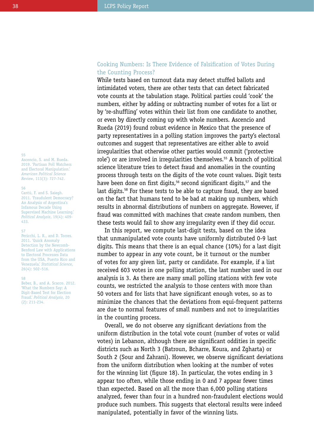#### 55

Ascencio, S. and M. Rueda. 2019. 'Partisan Poll Watchers and Electoral Manipulation.' *American Political Science Review*, 113(3): 727-742.

### 56

Cantú, F. and S. Saiegh. 2011. 'Fraudulent Democracy? An Analysis of Argentina's Infamous Decade Using Supervised Machine Learning.' *Political Analysis*, 19(4): 409- 433.

#### 57

Pericchi, L. R., and D. Torres. 2011. 'Quick Anomaly Detection by the Newcomb-Benford Law with Applications to Electoral Processes Data from the USA, Puerto Rico and Venezuela.' *Statistical Science*, 26(4): 502–516.

#### 58

Beber, B., and A. Scacco. 2012. 'What the Numbers Say: A Digit-Based Test for Election Fraud.' *Political Analysis*, 20 (2): 211-234.

# Cooking Numbers: Is There Evidence of Falsification of Votes During the Counting Process?

While tests based on turnout data may detect stuffed ballots and intimidated voters, there are other tests that can detect fabricated vote counts at the tabulation stage. Political parties could 'cook' the numbers, either by adding or subtracting number of votes for a list or by 're-shuffling' votes within their list from one candidate to another, or even by directly coming up with whole numbers. Ascencio and Rueda (2019) found robust evidence in Mexico that the presence of party representatives in a polling station improves the party's electoral outcomes and suggest that representatives are either able to avoid irregularities that otherwise other parties would commit ('protective role') or are involved in irregularities themselves.<sup>55</sup> A branch of political science literature tries to detect fraud and anomalies in the counting process through tests on the digits of the vote count values. Digit tests have been done on first digits,<sup>56</sup> second significant digits,<sup>57</sup> and the last digits.<sup>58</sup> For these tests to be able to capture fraud, they are based on the fact that humans tend to be bad at making up numbers, which results in abnormal distributions of numbers on aggregate. However, if fraud was committed with machines that create random numbers, then these tests would fail to show any irregularity even if they did occur.

In this report, we compute last-digit tests, based on the idea that unmanipulated vote counts have uniformly distributed 0-9 last digits. This means that there is an equal chance (10%) for a last digit number to appear in any vote count, be it turnout or the number of votes for any given list, party or candidate. For example, if a list received 603 votes in one polling station, the last number used in our analysis is 3. As there are many small polling stations with few vote counts, we restricted the analysis to those centers with more than 50 voters and for lists that have significant enough votes, so as to minimize the chances that the deviations from equi-frequent patterns are due to normal features of small numbers and not to irregularities in the counting process.

Overall, we do not observe any significant deviations from the uniform distribution in the total vote count (number of votes or valid votes) in Lebanon, although there are significant oddities in specific districts such as North 3 (Batroun, Bcharre, Koura, and Zgharta) or South 2 (Sour and Zahrani). However, we observe significant deviations from the uniform distribution when looking at the number of votes for the winning list (figure 18). In particular, the votes ending in 3 appear too often, while those ending in 0 and 7 appear fewer times than expected. Based on all the more than 6,000 polling stations analyzed, fewer than four in a hundred non-fraudulent elections would produce such numbers. This suggests that electoral results were indeed manipulated, potentially in favor of the winning lists.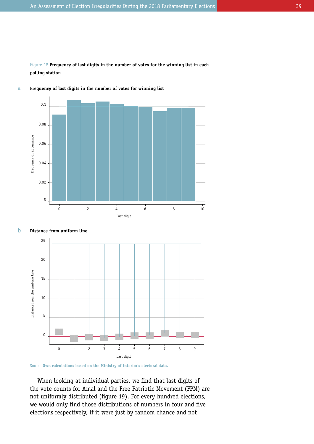Figure 18 **Frequency of last digits in the number of votes for the winning list in each polling station**



#### **Frequency of last digits in the number of votes for winning list** a





Source **Own calculations based on the Ministry of Interior's electoral data.**

When looking at individual parties, we find that last digits of the vote counts for Amal and the Free Patriotic Movement (FPM) are not uniformly distributed (figure 19). For every hundred elections, we would only find those distributions of numbers in four and five elections respectively, if it were just by random chance and not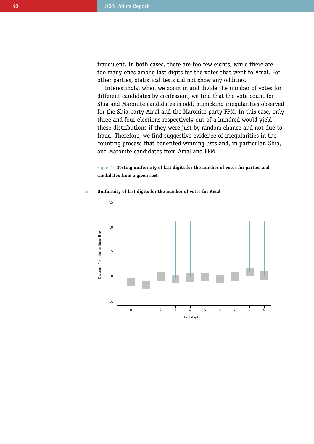fraudulent. In both cases, there are too few eights, while there are too many ones among last digits for the votes that went to Amal. For other parties, statistical tests did not show any oddities.

Interestingly, when we zoom in and divide the number of votes for different candidates by confession, we find that the vote count for Shia and Maronite candidates is odd, mimicking irregularities observed for the Shia party Amal and the Maronite party FPM. In this case, only three and four elections respectively out of a hundred would yield these distributions if they were just by random chance and not due to fraud. Therefore, we find suggestive evidence of irregularities in the counting process that benefited winning lists and, in particular, Shia, and Maronite candidates from Amal and FPM.

# Figure 19 **Testing uniformity of last digits for the number of votes for parties and candidates from a given sect**

#### **Uniformity of last digits for the number of votes for Amal** a

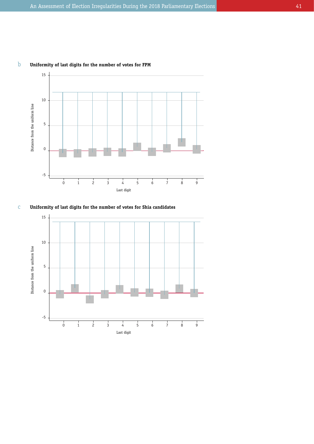



**Uniformity of last digits for the number of votes for Shia candidates** c

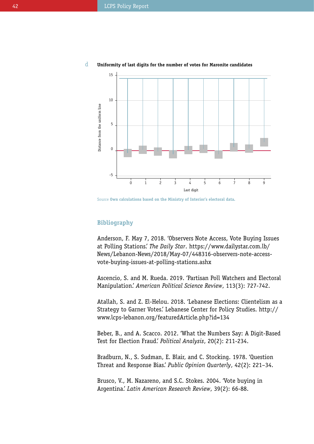

#### **Uniformity of last digits for the number of votes for Maronite candidates** d

Source **Own calculations based on the Ministry of Interior's electoral data.**

# **Bibliography**

Anderson, F. May 7, 2018. 'Observers Note Access, Vote Buying Issues at Polling Stations.' *The Daily Star*. [https://www.dailystar.com.lb/](https://www.dailystar.com.lb/News/Lebanon-News/2018/May-07/448316-observers-note-access-vote-buying-issues-at-polling-stations.ashx) [News/Lebanon-News/2018/May-07/448316-observers-note-access](https://www.dailystar.com.lb/News/Lebanon-News/2018/May-07/448316-observers-note-access-vote-buying-issues-at-polling-stations.ashx)[vote-buying-issues-at-polling-stations.ashx](https://www.dailystar.com.lb/News/Lebanon-News/2018/May-07/448316-observers-note-access-vote-buying-issues-at-polling-stations.ashx)

Ascencio, S. and M. Rueda. 2019. 'Partisan Poll Watchers and Electoral Manipulation.' *American Political Science Review*, 113(3): 727-742.

Atallah, S. and Z. El-Helou. 2018. 'Lebanese Elections: Clientelism as a Strategy to Garner Votes.' Lebanese Center for Policy Studies. [http://](http://www.lcps-lebanon.org/featuredArticle.php?id=134) [www.lcps-lebanon.org/featuredArticle.php?id=134](http://www.lcps-lebanon.org/featuredArticle.php?id=134)

Beber, B., and A. Scacco. 2012. 'What the Numbers Say: A Digit-Based Test for Election Fraud.' *Political Analysis*, 20(2): 211-234.

Bradburn, N., S. Sudman, E. Blair, and C. Stocking. 1978. 'Question Threat and Response Bias.' *Public Opinion Quarterly*, 42(2): 221–34.

Brusco, V., M. Nazareno, and S.C. Stokes. 2004. 'Vote buying in Argentina.' *Latin American Research Review*, 39(2): 66-88.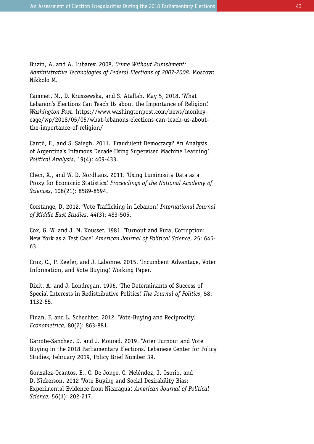Buzin, A. and A. Lubarev. 2008. *Crime Without Punishment: Administrative Technologies of Federal Elections of 2007-2008*. Moscow: Nikkolo M.

Cammet, M., D. Kruszewska, and S. Atallah. May 5, 2018. 'What Lebanon's Elections Can Teach Us about the Importance of Religion.' *Washington Post*. [https://www.washingtonpost.com/news/monkey](https://www.washingtonpost.com/news/monkey-cage/wp/2018/05/05/what-lebanons-elections-can-teach-us-about-the-importance-of-religion/)[cage/wp/2018/05/05/what-lebanons-elections-can-teach-us-about](https://www.washingtonpost.com/news/monkey-cage/wp/2018/05/05/what-lebanons-elections-can-teach-us-about-the-importance-of-religion/)[the-importance-of-religion/](https://www.washingtonpost.com/news/monkey-cage/wp/2018/05/05/what-lebanons-elections-can-teach-us-about-the-importance-of-religion/)

Cantú, F., and S. Saiegh. 2011. 'Fraudulent Democracy? An Analysis of Argentina's Infamous Decade Using Supervised Machine Learning.' *Political Analysis*, 19(4): 409-433.

Chen, X., and W. D. Nordhaus. 2011. 'Using Luminosity Data as a Proxy for Economic Statistics.' *Proceedings of the National Academy of Sciences*, 108(21): 8589-8594.

Corstange, D. 2012. 'Vote Trafficking in Lebanon.' *International Journal of Middle East Studies*, 44(3): 483-505.

Cox, G. W. and J. M. Kousser. 1981. 'Turnout and Rural Corruption: New York as a Test Case.' *American Journal of Political Science*, 25: 646- 63.

Cruz, C., P. Keefer, and J. Labonne. 2015. 'Incumbent Advantage, Voter Information, and Vote Buying.' Working Paper.

Dixit, A. and J. Londregan. 1996. 'The Determinants of Success of Special Interests in Redistributive Politics.' *The Journal of Politics*, 58: 1132-55.

Finan, F. and L. Schechter. 2012. 'Vote-Buying and Reciprocity.' *Econometrica*, 80(2): 863-881.

Garrote-Sanchez, D. and J. Mourad. 2019. 'Voter Turnout and Vote Buying in the 2018 Parliamentary Elections.' Lebanese Center for Policy Studies, February 2019, Policy Brief Number 39.

Gonzalez-Ocantos, E., C. De Jonge, C. Meléndez, J. Osorio, and D. Nickerson. 2012 'Vote Buying and Social Desirability Bias: Experimental Evidence from Nicaragua.' *American Journal of Political Science*, 56(1): 202-217.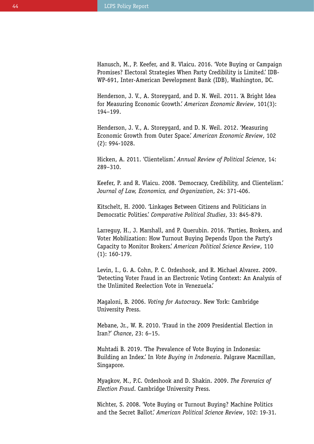Hanusch, M., P. Keefer, and R. Vlaicu. 2016. 'Vote Buying or Campaign Promises? Electoral Strategies When Party Credibility is Limited.' IDB-WP-691, Inter-American Development Bank (IDB), Washington, DC.

Henderson, J. V., A. Storeygard, and D. N. Weil. 2011. 'A Bright Idea for Measuring Economic Growth.' *American Economic Review*, 101(3): 194–199.

Henderson, J. V., A. Storeygard, and D. N. Weil. 2012. 'Measuring Economic Growth from Outer Space.' *American Economic Review*, 102 (2): 994-1028.

Hicken, A. 2011. 'Clientelism.' *Annual Review of Political Science*, 14: 289–310.

Keefer, P. and R. Vlaicu. 2008. 'Democracy, Credibility, and Clientelism.' *Journal of Law, Economics, and Organization*, 24: 371-406.

Kitschelt, H. 2000. 'Linkages Between Citizens and Politicians in Democratic Polities.' *Comparative Political Studies*, 33: 845-879.

Larreguy, H., J. Marshall, and P. Querubin. 2016. 'Parties, Brokers, and Voter Mobilization: How Turnout Buying Depends Upon the Party's Capacity to Monitor Brokers.' *American Political Science Review*, 110 (1): 160-179.

Levin, I., G. A. Cohn, P. C. Ordeshook, and R. Michael Alvarez. 2009. 'Detecting Voter Fraud in an Electronic Voting Context: An Analysis of the Unlimited Reelection Vote in Venezuela.'

Magaloni, B. 2006. *Voting for Autocracy*. New York: Cambridge University Press.

Mebane, Jr., W. R. 2010. 'Fraud in the 2009 Presidential Election in Iran?' *Chance*, 23: 6–15.

Muhtadi B. 2019. 'The Prevalence of Vote Buying in Indonesia: Building an Index.' In *Vote Buying in Indonesia*. Palgrave Macmillan, Singapore.

Myagkov, M., P.C. Ordeshook and D. Shakin. 2009. *The Forensics of Election Fraud*. Cambridge University Press.

Nichter, S. 2008. 'Vote Buying or Turnout Buying? Machine Politics and the Secret Ballot.' *American Political Science Review*, 102: 19-31.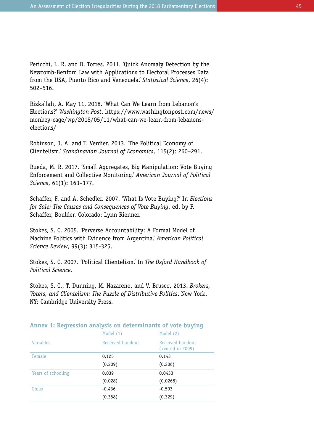Pericchi, L. R. and D. Torres. 2011. 'Quick Anomaly Detection by the Newcomb-Benford Law with Applications to Electoral Processes Data from the USA, Puerto Rico and Venezuela.' *Statistical Science*, 26(4): 502–516.

Rizkallah, A. May 11, 2018. 'What Can We Learn from Lebanon's Elections?' *Washington Post*. https://www.washingtonpost.com/news/ monkey-cage/wp/2018/05/11/what-can-we-learn-from-lebanonselections/

Robinson, J. A. and T. Verdier. 2013. 'The Political Economy of Clientelism.' *Scandinavian Journal of Economics*, 115(2): 260–291.

Rueda, M. R. 2017. 'Small Aggregates, Big Manipulation: Vote Buying Enforcement and Collective Monitoring.' *American Journal of Political Science*, 61(1): 163–177.

Schaffer, F. and A. Schedler. 2007. 'What Is Vote Buying?' In *Elections for Sale: The Causes and Consequences of Vote Buying*, ed. by F. Schaffer, Boulder, Colorado: Lynn Rienner.

Stokes, S. C. 2005. 'Perverse Accountability: A Formal Model of Machine Politics with Evidence from Argentina.' *American Political Science Review*, 99(3): 315-325.

Stokes, S. C. 2007. 'Political Clientelism.' In *The Oxford Handbook of Political Science*.

Stokes, S. C., T. Dunning, M. Nazareno, and V. Brusco. 2013. *Brokers, Voters, and Clientelism: The Puzzle of Distributive Politics*. New York, NY: Cambridge University Press.

|                    | Model $(1)$      | Model (2)                            |
|--------------------|------------------|--------------------------------------|
| <b>Variables</b>   | Received handout | Received handout<br>(+voted in 2009) |
| Female             | 0.125            | 0.143                                |
|                    | (0.209)          | (0.206)                              |
| Years of schooling | 0.039            | 0.0433                               |
|                    | (0.028)          | (0.0268)                             |
| <b>Shias</b>       | $-0.436$         | $-0.503$                             |
|                    | (0.358)          | (0.329)                              |

# **Annex 1: Regression analysis on determinants of vote buying**